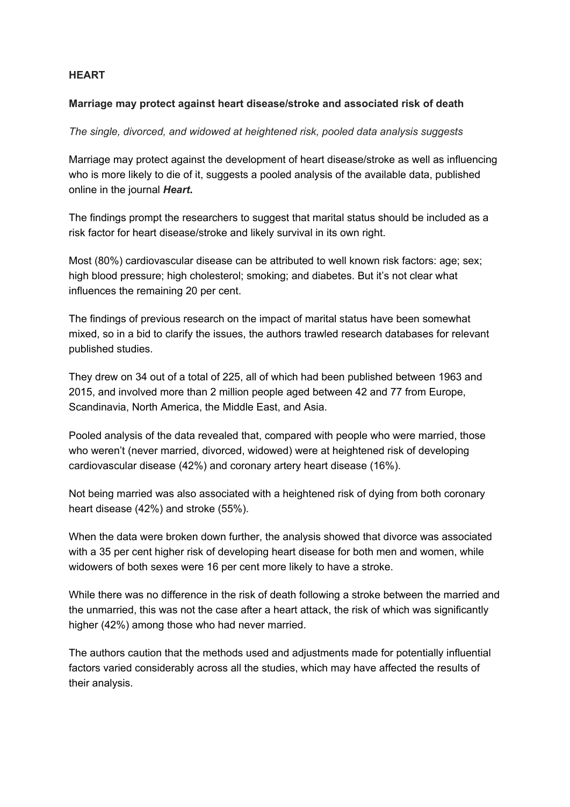## **HEART**

## **Marriage may protect against heart disease/stroke and associated risk of death**

## *The single, divorced, and widowed at heightened risk, pooled data analysis suggests*

Marriage may protect against the development of heart disease/stroke as well as influencing who is more likely to die of it, suggests a pooled analysis of the available data, published online in the journal *Heart***.**

The findings prompt the researchers to suggest that marital status should be included as a risk factor for heart disease/stroke and likely survival in its own right.

Most (80%) cardiovascular disease can be attributed to well known risk factors: age; sex; high blood pressure; high cholesterol; smoking; and diabetes. But it's not clear what influences the remaining 20 per cent.

The findings of previous research on the impact of marital status have been somewhat mixed, so in a bid to clarify the issues, the authors trawled research databases for relevant published studies.

They drew on 34 out of a total of 225, all of which had been published between 1963 and 2015, and involved more than 2 million people aged between 42 and 77 from Europe, Scandinavia, North America, the Middle East, and Asia.

Pooled analysis of the data revealed that, compared with people who were married, those who weren't (never married, divorced, widowed) were at heightened risk of developing cardiovascular disease (42%) and coronary artery heart disease (16%).

Not being married was also associated with a heightened risk of dying from both coronary heart disease (42%) and stroke (55%).

When the data were broken down further, the analysis showed that divorce was associated with a 35 per cent higher risk of developing heart disease for both men and women, while widowers of both sexes were 16 per cent more likely to have a stroke.

While there was no difference in the risk of death following a stroke between the married and the unmarried, this was not the case after a heart attack, the risk of which was significantly higher (42%) among those who had never married.

The authors caution that the methods used and adjustments made for potentially influential factors varied considerably across all the studies, which may have affected the results of their analysis.